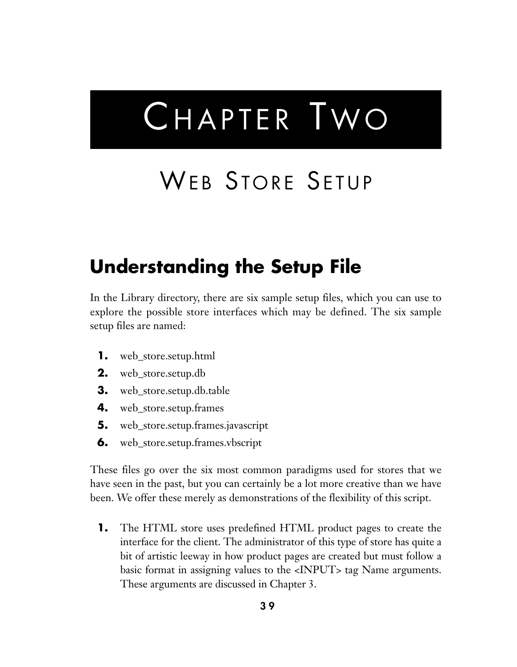# CHAPTER TWO

## WEB STORE SETUP

### **Understanding the Setup File**

In the Library directory, there are six sample setup files, which you can use to explore the possible store interfaces which may be defined. The six sample setup files are named:

- **1.** web\_store.setup.html
- **2.** web\_store.setup.db
- **3.** web\_store.setup.db.table
- **4.** web\_store.setup.frames
- **5.** web\_store.setup.frames.javascript
- **6.** web\_store.setup.frames.vbscript

These files go over the six most common paradigms used for stores that we have seen in the past, but you can certainly be a lot more creative than we have been. We offer these merely as demonstrations of the flexibility of this script.

**1.** The HTML store uses predefined HTML product pages to create the interface for the client. The administrator of this type of store has quite a bit of artistic leeway in how product pages are created but must follow a basic format in assigning values to the <INPUT> tag Name arguments. These arguments are discussed in Chapter 3.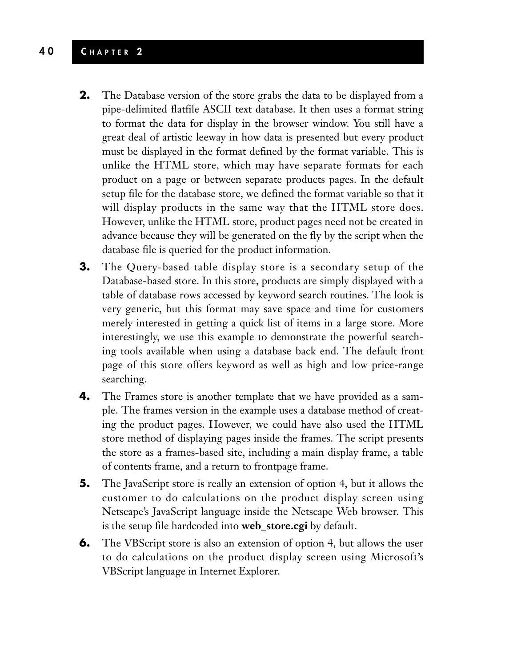#### **4 0 C HAPTER 2**

- **2.** The Database version of the store grabs the data to be displayed from a pipe-delimited flatfile ASCII text database. It then uses a format string to format the data for display in the browser window. You still have a great deal of artistic leeway in how data is presented but every product must be displayed in the format defined by the format variable. This is unlike the HTML store, which may have separate formats for each product on a page or between separate products pages. In the default setup file for the database store, we defined the format variable so that it will display products in the same way that the HTML store does. However, unlike the HTML store, product pages need not be created in advance because they will be generated on the fly by the script when the database file is queried for the product information.
- **3.** The Query-based table display store is a secondary setup of the Database-based store. In this store, products are simply displayed with a table of database rows accessed by keyword search routines. The look is very generic, but this format may save space and time for customers merely interested in getting a quick list of items in a large store. More interestingly, we use this example to demonstrate the powerful searching tools available when using a database back end. The default front page of this store offers keyword as well as high and low price-range searching.
- **4.** The Frames store is another template that we have provided as a sample. The frames version in the example uses a database method of creating the product pages. However, we could have also used the HTML store method of displaying pages inside the frames. The script presents the store as a frames-based site, including a main display frame, a table of contents frame, and a return to frontpage frame.
- **5.** The JavaScript store is really an extension of option 4, but it allows the customer to do calculations on the product display screen using Netscape's JavaScript language inside the Netscape Web browser. This is the setup file hardcoded into **web\_store.cgi** by default.
- **6.** The VBScript store is also an extension of option 4, but allows the user to do calculations on the product display screen using Microsoft's VBScript language in Internet Explorer.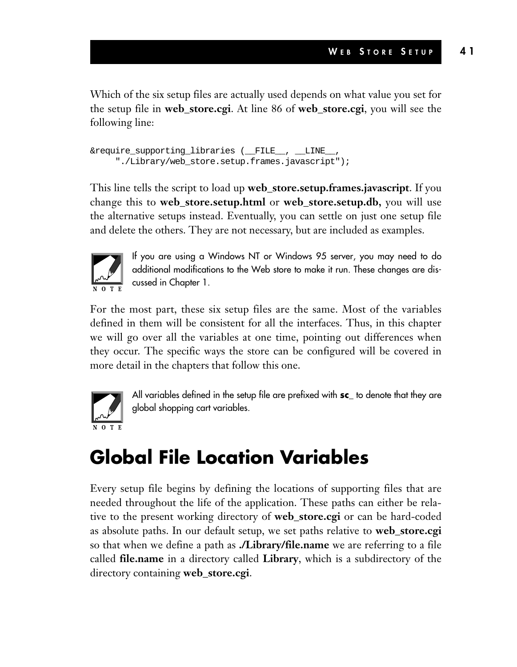Which of the six setup files are actually used depends on what value you set for the setup file in **web\_store.cgi**. At line 86 of **web\_store.cgi**, you will see the following line:

```
&require_supporting_libraries (__FILE__, __LINE__,
     "./Library/web_store.setup.frames.javascript");
```
This line tells the script to load up **web\_store.setup.frames.javascript**. If you change this to **web\_store.setup.html** or **web\_store.setup.db,** you will use the alternative setups instead. Eventually, you can settle on just one setup file and delete the others. They are not necessary, but are included as examples.



If you are using a Windows NT or Windows 95 server, you may need to do additional modifications to the Web store to make it run. These changes are discussed in Chapter 1.

For the most part, these six setup files are the same. Most of the variables defined in them will be consistent for all the interfaces. Thus, in this chapter we will go over all the variables at one time, pointing out differences when they occur. The specific ways the store can be configured will be covered in more detail in the chapters that follow this one.



All variables defined in the setup file are prefixed with **sc\_** to denote that they are global shopping cart variables.

### **Global File Location Variables**

Every setup file begins by defining the locations of supporting files that are needed throughout the life of the application. These paths can either be relative to the present working directory of **web\_store.cgi** or can be hard-coded as absolute paths. In our default setup, we set paths relative to **web\_store.cgi** so that when we define a path as **./Library/file.name** we are referring to a file called **file.name** in a directory called **Library**, which is a subdirectory of the directory containing **web\_store.cgi**.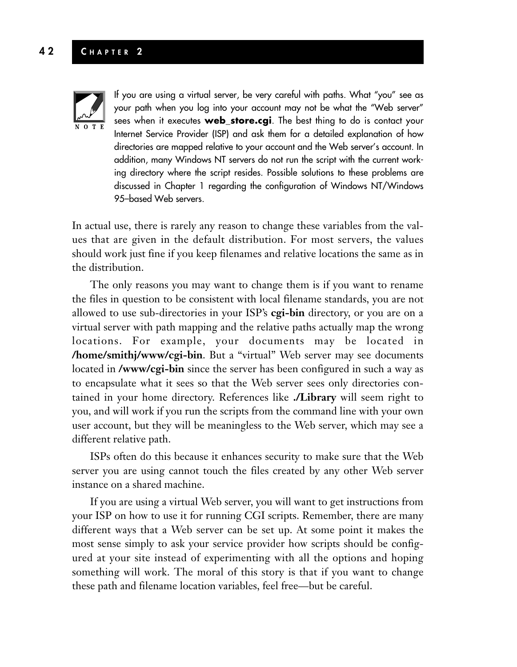#### **4 2 C HAPTER 2**



If you are using a virtual server, be very careful with paths. What "you" see as your path when you log into your account may not be what the "Web server" sees when it executes **web\_store.cgi**. The best thing to do is contact your Internet Service Provider (ISP) and ask them for a detailed explanation of how directories are mapped relative to your account and the Web server's account. In addition, many Windows NT servers do not run the script with the current working directory where the script resides. Possible solutions to these problems are discussed in Chapter 1 regarding the configuration of Windows NT/Windows 95–based Web servers.

In actual use, there is rarely any reason to change these variables from the values that are given in the default distribution. For most servers, the values should work just fine if you keep filenames and relative locations the same as in the distribution.

The only reasons you may want to change them is if you want to rename the files in question to be consistent with local filename standards, you are not allowed to use sub-directories in your ISP's **cgi-bin** directory, or you are on a virtual server with path mapping and the relative paths actually map the wrong locations. For example, your documents may be located in **/home/smithj/www/cgi-bin**. But a "virtual" Web server may see documents located in **/www/cgi-bin** since the server has been configured in such a way as to encapsulate what it sees so that the Web server sees only directories contained in your home directory. References like **./Library** will seem right to you, and will work if you run the scripts from the command line with your own user account, but they will be meaningless to the Web server, which may see a different relative path.

ISPs often do this because it enhances security to make sure that the Web server you are using cannot touch the files created by any other Web server instance on a shared machine.

If you are using a virtual Web server, you will want to get instructions from your ISP on how to use it for running CGI scripts. Remember, there are many different ways that a Web server can be set up. At some point it makes the most sense simply to ask your service provider how scripts should be configured at your site instead of experimenting with all the options and hoping something will work. The moral of this story is that if you want to change these path and filename location variables, feel free—but be careful.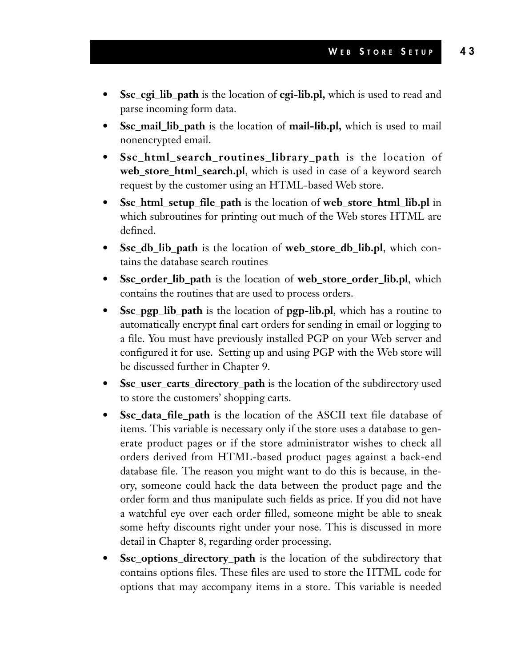- **\$sc\_cgi\_lib\_path** is the location of **cgi-lib.pl,** which is used to read and parse incoming form data.
- **\$sc\_mail\_lib\_path** is the location of **mail-lib.pl,** which is used to mail nonencrypted email.
- **\$sc\_html\_search\_routines\_library\_path** is the location of **web\_store\_html\_search.pl**, which is used in case of a keyword search request by the customer using an HTML-based Web store.
- **\$sc\_html\_setup\_file\_path** is the location of **web\_store\_html\_lib.pl** in which subroutines for printing out much of the Web stores HTML are defined.
- **\$sc\_db\_lib\_path** is the location of **web\_store\_db\_lib.pl**, which contains the database search routines
- **\$sc\_order\_lib\_path** is the location of **web\_store\_order\_lib.pl**, which contains the routines that are used to process orders.
- **\$sc\_pgp\_lib\_path** is the location of **pgp-lib.pl**, which has a routine to automatically encrypt final cart orders for sending in email or logging to a file. You must have previously installed PGP on your Web server and configured it for use. Setting up and using PGP with the Web store will be discussed further in Chapter 9.
- **\$sc\_user\_carts\_directory\_path** is the location of the subdirectory used to store the customers' shopping carts.
- **\$sc\_data\_file\_path** is the location of the ASCII text file database of items. This variable is necessary only if the store uses a database to generate product pages or if the store administrator wishes to check all orders derived from HTML-based product pages against a back-end database file. The reason you might want to do this is because, in theory, someone could hack the data between the product page and the order form and thus manipulate such fields as price. If you did not have a watchful eye over each order filled, someone might be able to sneak some hefty discounts right under your nose. This is discussed in more detail in Chapter 8, regarding order processing.
- **\$sc\_options\_directory\_path** is the location of the subdirectory that contains options files. These files are used to store the HTML code for options that may accompany items in a store. This variable is needed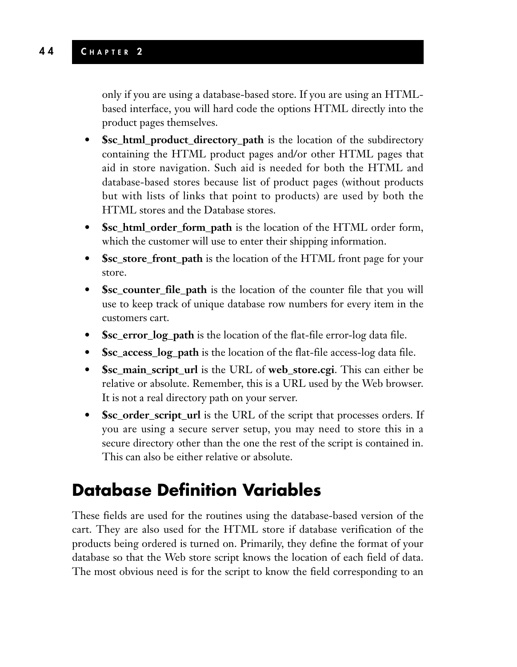only if you are using a database-based store. If you are using an HTMLbased interface, you will hard code the options HTML directly into the product pages themselves.

- **Ssc\_html\_product\_directory\_path** is the location of the subdirectory containing the HTML product pages and/or other HTML pages that aid in store navigation. Such aid is needed for both the HTML and database-based stores because list of product pages (without products but with lists of links that point to products) are used by both the HTML stores and the Database stores.
- **\$sc\_html\_order\_form\_path** is the location of the HTML order form, which the customer will use to enter their shipping information.
- **\$sc\_store\_front\_path** is the location of the HTML front page for your store.
- **\$sc\_counter\_file\_path** is the location of the counter file that you will use to keep track of unique database row numbers for every item in the customers cart.
- **\$sc\_error\_log\_path** is the location of the flat-file error-log data file.
- **\$sc\_access\_log\_path** is the location of the flat-file access-log data file.
- **\$sc\_main\_script\_url** is the URL of **web\_store.cgi**. This can either be relative or absolute. Remember, this is a URL used by the Web browser. It is not a real directory path on your server.
- **\$sc\_order\_script\_url** is the URL of the script that processes orders. If you are using a secure server setup, you may need to store this in a secure directory other than the one the rest of the script is contained in. This can also be either relative or absolute.

### **Database Definition Variables**

These fields are used for the routines using the database-based version of the cart. They are also used for the HTML store if database verification of the products being ordered is turned on. Primarily, they define the format of your database so that the Web store script knows the location of each field of data. The most obvious need is for the script to know the field corresponding to an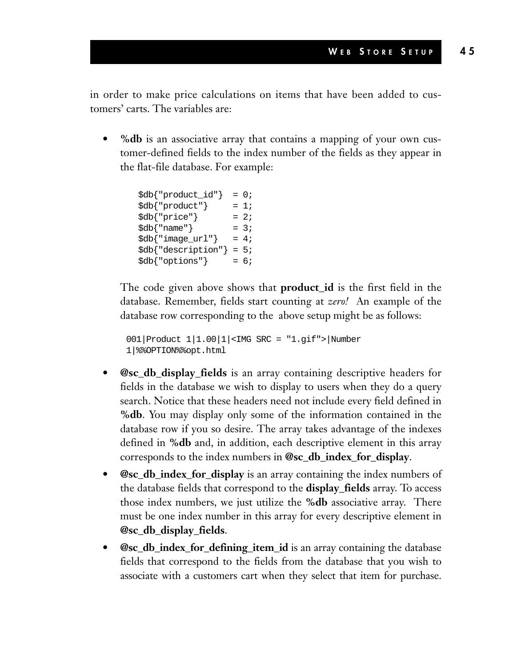in order to make price calculations on items that have been added to customers' carts. The variables are:

**• %db** is an associative array that contains a mapping of your own customer-defined fields to the index number of the fields as they appear in the flat-file database. For example:

| \$db{"product_id"}      | $= 0;$ |  |
|-------------------------|--------|--|
| \$db{ "product" }       | $= 1;$ |  |
| \$db{"price"}           | $= 2i$ |  |
| $\delta d b$ { "name" } | $= 3;$ |  |
| \$db{"image_url"}       | $= 4;$ |  |
| \$db{"description"}     | $= 5i$ |  |
| \$db{"options"}         | $= 6;$ |  |

The code given above shows that **product\_id** is the first field in the database. Remember, fields start counting at *zero!* An example of the database row corresponding to the above setup might be as follows:

```
001|Product 1|1.00|1|<IMG SRC = "1.gif">|Number
1|%%OPTION%%opt.html
```
- **@sc\_db\_display\_fields** is an array containing descriptive headers for fields in the database we wish to display to users when they do a query search. Notice that these headers need not include every field defined in **%db**. You may display only some of the information contained in the database row if you so desire. The array takes advantage of the indexes defined in **%db** and, in addition, each descriptive element in this array corresponds to the index numbers in **@sc\_db\_index\_for\_display**.
- **@sc\_db\_index\_for\_display** is an array containing the index numbers of the database fields that correspond to the **display\_fields** array. To access those index numbers, we just utilize the **%db** associative array. There must be one index number in this array for every descriptive element in **@sc\_db\_display\_fields**.
- **@sc\_db\_index\_for\_defining\_item\_id** is an array containing the database fields that correspond to the fields from the database that you wish to associate with a customers cart when they select that item for purchase.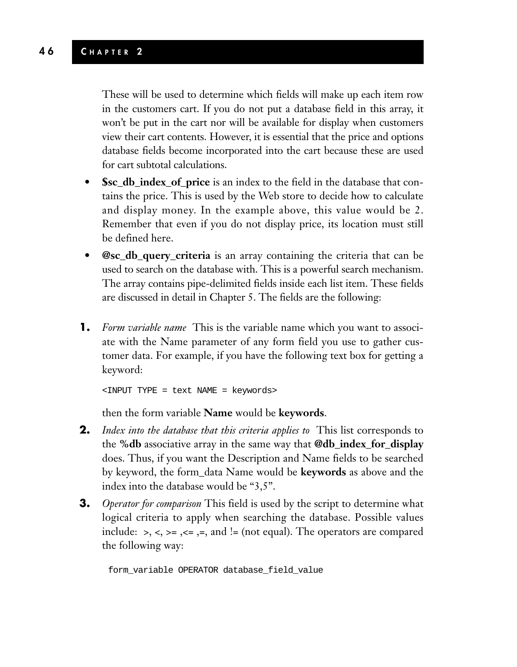These will be used to determine which fields will make up each item row in the customers cart. If you do not put a database field in this array, it won't be put in the cart nor will be available for display when customers view their cart contents. However, it is essential that the price and options database fields become incorporated into the cart because these are used for cart subtotal calculations.

- **\$sc\_db\_index\_of\_price** is an index to the field in the database that contains the price. This is used by the Web store to decide how to calculate and display money. In the example above, this value would be 2. Remember that even if you do not display price, its location must still be defined here.
- **@sc\_db\_query\_criteria** is an array containing the criteria that can be used to search on the database with. This is a powerful search mechanism. The array contains pipe-delimited fields inside each list item. These fields are discussed in detail in Chapter 5. The fields are the following:
- **1.** *Form variable name* This is the variable name which you want to associate with the Name parameter of any form field you use to gather customer data. For example, if you have the following text box for getting a keyword:

```
<INPUT TYPE = text NAME = keywords>
```
then the form variable **Name** would be **keywords**.

- **2.** *Index into the database that this criteria applies to* This list corresponds to the **%db** associative array in the same way that **@db\_index\_for\_display** does. Thus, if you want the Description and Name fields to be searched by keyword, the form\_data Name would be **keywords** as above and the index into the database would be "3,5".
- **3.** *Operator for comparison* This field is used by the script to determine what logical criteria to apply when searching the database. Possible values include:  $>$ ,  $<$ ,  $>$ =,  $<$ =,  $=$ ,  $=$ , and  $!=$  (not equal). The operators are compared the following way:

form\_variable OPERATOR database\_field\_value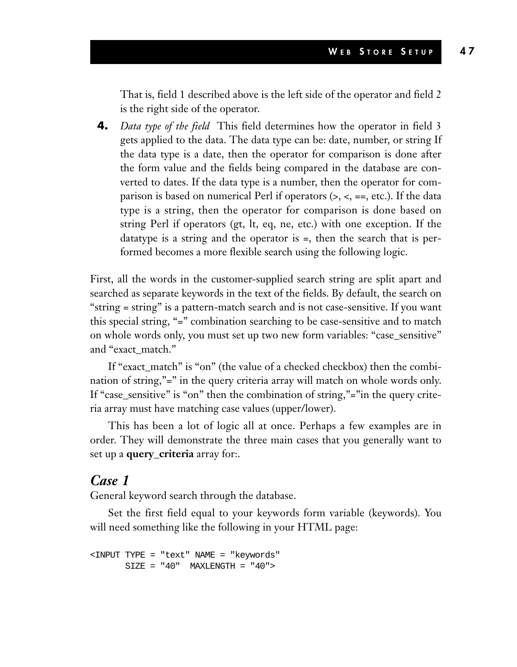That is, field 1 described above is the left side of the operator and field 2 is the right side of the operator.

**4.** *Data type of the field* This field determines how the operator in field 3 gets applied to the data. The data type can be: date, number, or string If the data type is a date, then the operator for comparison is done after the form value and the fields being compared in the database are converted to dates. If the data type is a number, then the operator for comparison is based on numerical Perl if operators (>, <, ==, etc.). If the data type is a string, then the operator for comparison is done based on string Perl if operators (gt, lt, eq, ne, etc.) with one exception. If the datatype is a string and the operator is =, then the search that is performed becomes a more flexible search using the following logic.

First, all the words in the customer-supplied search string are split apart and searched as separate keywords in the text of the fields. By default, the search on "string = string" is a pattern-match search and is not case-sensitive. If you want this special string, "=" combination searching to be case-sensitive and to match on whole words only, you must set up two new form variables: "case\_sensitive" and "exact\_match."

If "exact\_match" is "on" (the value of a checked checkbox) then the combination of string,"=" in the query criteria array will match on whole words only. If "case\_sensitive" is "on" then the combination of string,"="in the query criteria array must have matching case values (upper/lower).

This has been a lot of logic all at once. Perhaps a few examples are in order. They will demonstrate the three main cases that you generally want to set up a **query\_criteria** array for:.

#### *Case 1*

General keyword search through the database.

Set the first field equal to your keywords form variable (keywords). You will need something like the following in your HTML page:

```
<INPUT TYPE = "text" NAME = "keywords"
      SIZE = "40" MAXLENGTH = "40">
```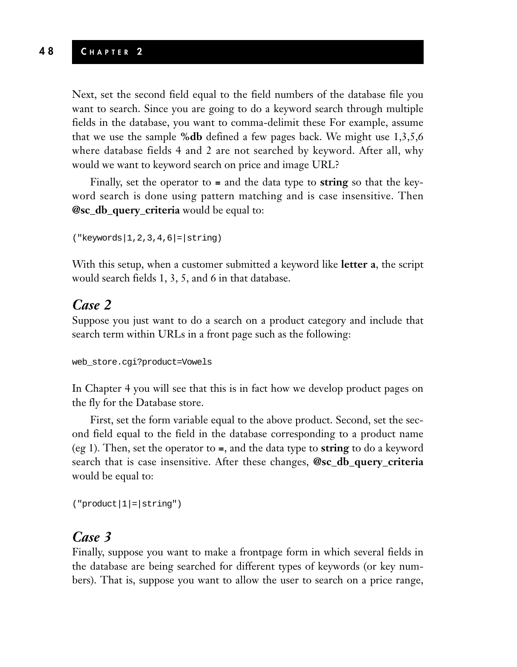#### **4 8 C HAPTER 2**

Next, set the second field equal to the field numbers of the database file you want to search. Since you are going to do a keyword search through multiple fields in the database, you want to comma-delimit these For example, assume that we use the sample **%db** defined a few pages back. We might use 1,3,5,6 where database fields 4 and 2 are not searched by keyword. After all, why would we want to keyword search on price and image URL?

Finally, set the operator to **=** and the data type to **string** so that the keyword search is done using pattern matching and is case insensitive. Then **@sc\_db\_query\_criteria** would be equal to:

```
("keywords|1,2,3,4,6|=|string)
```
With this setup, when a customer submitted a keyword like **letter a**, the script would search fields 1, 3, 5, and 6 in that database.

#### *Case 2*

Suppose you just want to do a search on a product category and include that search term within URLs in a front page such as the following:

web\_store.cgi?product=Vowels

In Chapter 4 you will see that this is in fact how we develop product pages on the fly for the Database store.

First, set the form variable equal to the above product. Second, set the second field equal to the field in the database corresponding to a product name (eg 1). Then, set the operator to **=**, and the data type to **string** to do a keyword search that is case insensitive. After these changes, **@sc\_db\_query\_criteria** would be equal to:

```
('product|1|=|string")
```
#### *Case 3*

Finally, suppose you want to make a frontpage form in which several fields in the database are being searched for different types of keywords (or key numbers). That is, suppose you want to allow the user to search on a price range,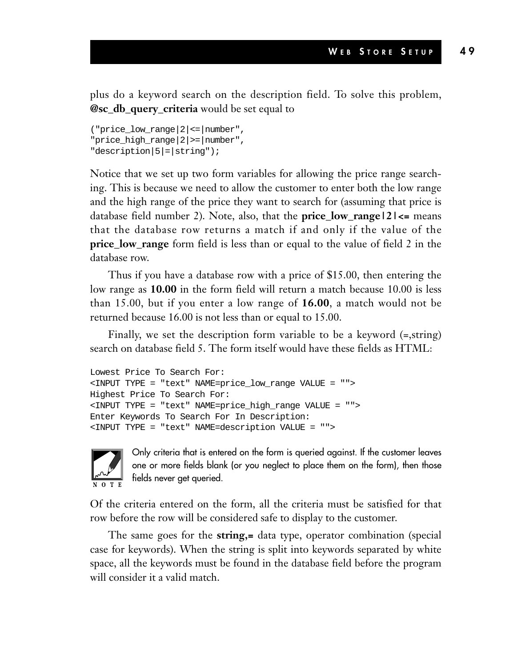plus do a keyword search on the description field. To solve this problem, **@sc\_db\_query\_criteria** would be set equal to

```
("price_low_range|2|<=|number",
"price_high_range|2|>=|number",
"description|5|=|string");
```
Notice that we set up two form variables for allowing the price range searching. This is because we need to allow the customer to enter both the low range and the high range of the price they want to search for (assuming that price is database field number 2). Note, also, that the **price\_low\_range|2|<=** means that the database row returns a match if and only if the value of the price low\_range form field is less than or equal to the value of field 2 in the database row.

Thus if you have a database row with a price of \$15.00, then entering the low range as **10.00** in the form field will return a match because 10.00 is less than 15.00, but if you enter a low range of **16.00**, a match would not be returned because 16.00 is not less than or equal to 15.00.

Finally, we set the description form variable to be a keyword (=,string) search on database field 5. The form itself would have these fields as HTML:

```
Lowest Price To Search For:
<INPUT TYPE = "text" NAME=price_low_range VALUE = "">
Highest Price To Search For:
<INPUT TYPE = "text" NAME=price_high_range VALUE = "">
Enter Keywords To Search For In Description:
<INPUT TYPE = "text" NAME=description VALUE = "">
```


Only criteria that is entered on the form is queried against. If the customer leaves one or more fields blank (or you neglect to place them on the form), then those fields never get queried.

Of the criteria entered on the form, all the criteria must be satisfied for that row before the row will be considered safe to display to the customer.

The same goes for the **string,=** data type, operator combination (special case for keywords). When the string is split into keywords separated by white space, all the keywords must be found in the database field before the program will consider it a valid match.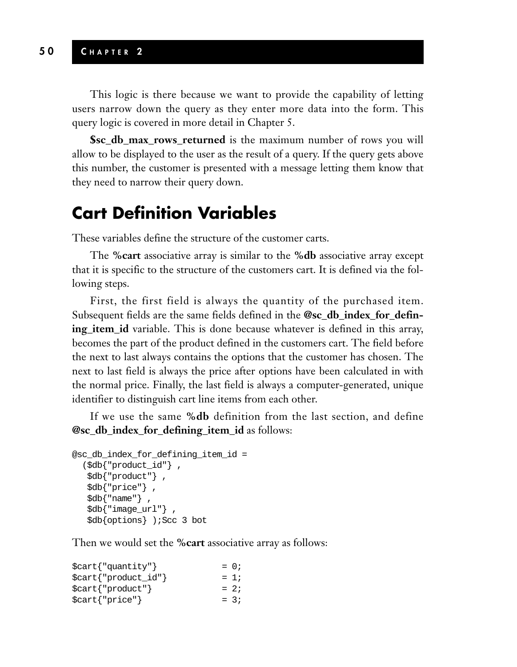This logic is there because we want to provide the capability of letting users narrow down the query as they enter more data into the form. This query logic is covered in more detail in Chapter 5.

**\$sc\_db\_max\_rows\_returned** is the maximum number of rows you will allow to be displayed to the user as the result of a query. If the query gets above this number, the customer is presented with a message letting them know that they need to narrow their query down.

### **Cart Definition Variables**

These variables define the structure of the customer carts.

The **%cart** associative array is similar to the **%db** associative array except that it is specific to the structure of the customers cart. It is defined via the following steps.

First, the first field is always the quantity of the purchased item. Subsequent fields are the same fields defined in the **@sc\_db\_index\_for\_defining\_item\_id** variable. This is done because whatever is defined in this array, becomes the part of the product defined in the customers cart. The field before the next to last always contains the options that the customer has chosen. The next to last field is always the price after options have been calculated in with the normal price. Finally, the last field is always a computer-generated, unique identifier to distinguish cart line items from each other.

If we use the same **%db** definition from the last section, and define **@sc\_db\_index\_for\_defining\_item\_id** as follows:

```
@sc_db_index_for_defining_item_id =
  ($db{"product_id"} ,
   $db{"product"} ,
   $db{"price"} ,
   $db{"name"} ,
   $db{"image_url"} ,
   $db{options} );Scc 3 bot
```
Then we would set the **%cart** associative array as follows:

| $\text{Scart}$ $\{$ "quantity" $\}$ | $= 0$  |
|-------------------------------------|--------|
| $\text{Scart}$ {"product_id"}       | $= 1i$ |
| $\text{Scart}$ { "product" }        | $= 2i$ |
| $\text{Scart}$ {"price"}            | $= 3i$ |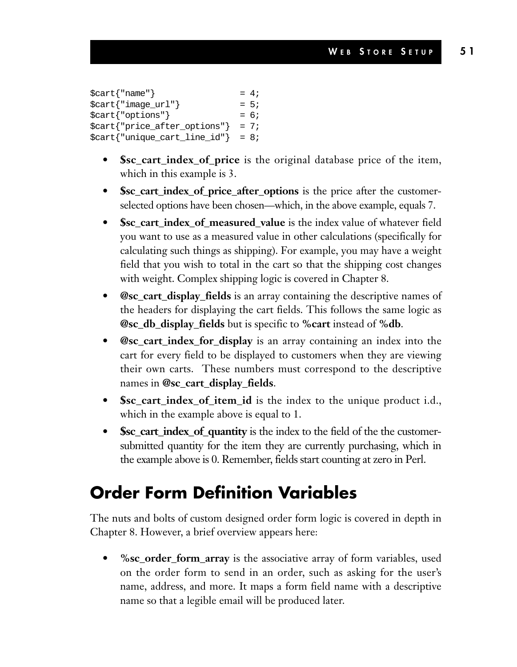```
\text{Start} \{ \text{"name"}\} = 4;
$cart{}' "image_url" } = 5;
$cart{}' = 6;
$cart['price after options'] = 7;$cart{' "unique_cart_line_id"} = 8;
```
- **\$sc\_cart\_index\_of\_price** is the original database price of the item, which in this example is 3.
- **\$sc\_cart\_index\_of\_price\_after\_options** is the price after the customerselected options have been chosen—which, in the above example, equals 7.
- **\$sc\_cart\_index\_of\_measured\_value** is the index value of whatever field you want to use as a measured value in other calculations (specifically for calculating such things as shipping). For example, you may have a weight field that you wish to total in the cart so that the shipping cost changes with weight. Complex shipping logic is covered in Chapter 8.
- **@sc\_cart\_display\_fields** is an array containing the descriptive names of the headers for displaying the cart fields. This follows the same logic as **@sc\_db\_display\_fields** but is specific to **%cart** instead of **%db**.
- **@sc\_cart\_index\_for\_display** is an array containing an index into the cart for every field to be displayed to customers when they are viewing their own carts. These numbers must correspond to the descriptive names in **@sc\_cart\_display\_fields**.
- **\$sc\_cart\_index\_of\_item\_id** is the index to the unique product i.d., which in the example above is equal to 1.
- **\$sc\_cart\_index\_of\_quantity** is the index to the field of the the customersubmitted quantity for the item they are currently purchasing, which in the example above is 0. Remember, fields start counting at zero in Perl.

### **Order Form Definition Variables**

The nuts and bolts of custom designed order form logic is covered in depth in Chapter 8. However, a brief overview appears here:

**• %sc\_order\_form\_array** is the associative array of form variables, used on the order form to send in an order, such as asking for the user's name, address, and more. It maps a form field name with a descriptive name so that a legible email will be produced later.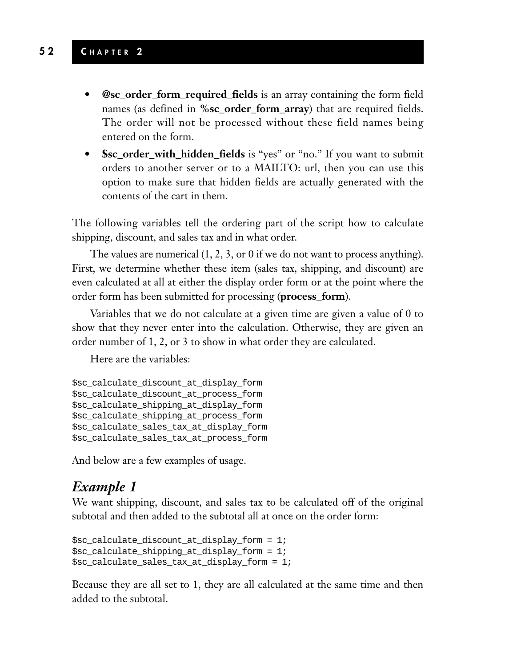#### **5 2 C HAPTER 2**

- **@sc\_order\_form\_required\_fields** is an array containing the form field names (as defined in **%sc** order form array) that are required fields. The order will not be processed without these field names being entered on the form.
- **\$sc\_order\_with\_hidden\_fields** is "yes" or "no." If you want to submit orders to another server or to a MAILTO: url, then you can use this option to make sure that hidden fields are actually generated with the contents of the cart in them.

The following variables tell the ordering part of the script how to calculate shipping, discount, and sales tax and in what order.

The values are numerical (1, 2, 3, or 0 if we do not want to process anything). First, we determine whether these item (sales tax, shipping, and discount) are even calculated at all at either the display order form or at the point where the order form has been submitted for processing (**process\_form**).

Variables that we do not calculate at a given time are given a value of 0 to show that they never enter into the calculation. Otherwise, they are given an order number of 1, 2, or 3 to show in what order they are calculated.

Here are the variables:

```
$sc_calculate_discount_at_display_form
$sc_calculate_discount_at_process_form
$sc_calculate_shipping_at_display_form
$sc_calculate_shipping_at_process_form
$sc_calculate_sales_tax_at_display_form
$sc_calculate_sales_tax_at_process_form
```
And below are a few examples of usage.

#### *Example 1*

We want shipping, discount, and sales tax to be calculated off of the original subtotal and then added to the subtotal all at once on the order form:

```
$sc_calculate_discount_at_display_form = 1;
$sc_calculate_shipping_at_display_form = 1;
$sc_calculate_sales_tax_at_display_form = 1;
```
Because they are all set to 1, they are all calculated at the same time and then added to the subtotal.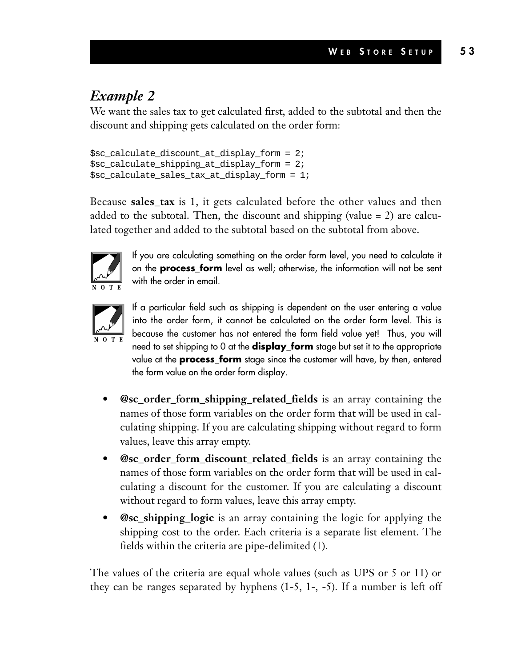### *Example 2*

We want the sales tax to get calculated first, added to the subtotal and then the discount and shipping gets calculated on the order form:

```
$sc_calculate_discount_at_display_form = 2;
$sc calculate shipping at display form = 2;
$sc_calculate_sales_tax_at_display_form = 1;
```
Because **sales\_tax** is 1, it gets calculated before the other values and then added to the subtotal. Then, the discount and shipping (value  $= 2$ ) are calculated together and added to the subtotal based on the subtotal from above.



If you are calculating something on the order form level, you need to calculate it on the **process\_form** level as well; otherwise, the information will not be sent with the order in email.



If a particular field such as shipping is dependent on the user entering a value into the order form, it cannot be calculated on the order form level. This is because the customer has not entered the form field value yet! Thus, you will need to set shipping to 0 at the **display\_form** stage but set it to the appropriate value at the **process\_form** stage since the customer will have, by then, entered the form value on the order form display.

- **@sc\_order\_form\_shipping\_related\_fields** is an array containing the names of those form variables on the order form that will be used in calculating shipping. If you are calculating shipping without regard to form values, leave this array empty.
- **@sc\_order\_form\_discount\_related\_fields** is an array containing the names of those form variables on the order form that will be used in calculating a discount for the customer. If you are calculating a discount without regard to form values, leave this array empty.
- **@sc\_shipping\_logic** is an array containing the logic for applying the shipping cost to the order. Each criteria is a separate list element. The fields within the criteria are pipe-delimited (1).

The values of the criteria are equal whole values (such as UPS or 5 or 11) or they can be ranges separated by hyphens  $(1-5, 1-,-5)$ . If a number is left off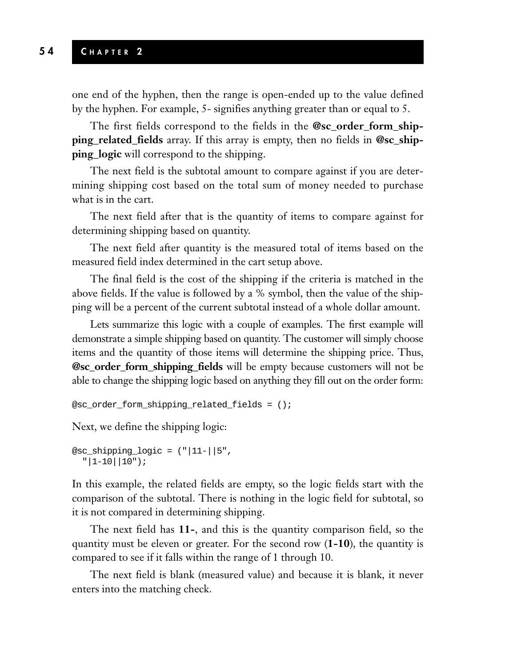#### **5 4 C HAPTER 2**

one end of the hyphen, then the range is open-ended up to the value defined by the hyphen. For example, 5- signifies anything greater than or equal to 5.

The first fields correspond to the fields in the **@sc\_order\_form\_shipping\_related\_fields** array. If this array is empty, then no fields in **@sc\_shipping\_logic** will correspond to the shipping.

The next field is the subtotal amount to compare against if you are determining shipping cost based on the total sum of money needed to purchase what is in the cart.

The next field after that is the quantity of items to compare against for determining shipping based on quantity.

The next field after quantity is the measured total of items based on the measured field index determined in the cart setup above.

The final field is the cost of the shipping if the criteria is matched in the above fields. If the value is followed by a % symbol, then the value of the shipping will be a percent of the current subtotal instead of a whole dollar amount.

Lets summarize this logic with a couple of examples. The first example will demonstrate a simple shipping based on quantity. The customer will simply choose items and the quantity of those items will determine the shipping price. Thus, **@sc\_order\_form\_shipping\_fields** will be empty because customers will not be able to change the shipping logic based on anything they fill out on the order form:

```
@sc_order_form_shipping_related_fields = ();
```
Next, we define the shipping logic:

```
@sc_shipping_logic = (|"|11-||5",
  "|1-10||10"
```
In this example, the related fields are empty, so the logic fields start with the comparison of the subtotal. There is nothing in the logic field for subtotal, so it is not compared in determining shipping.

The next field has **11-**, and this is the quantity comparison field, so the quantity must be eleven or greater. For the second row (**1-10**), the quantity is compared to see if it falls within the range of 1 through 10.

The next field is blank (measured value) and because it is blank, it never enters into the matching check.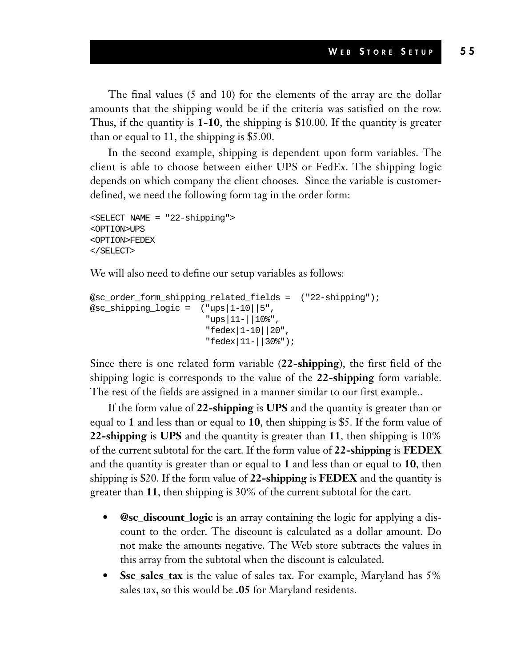The final values (5 and 10) for the elements of the array are the dollar amounts that the shipping would be if the criteria was satisfied on the row. Thus, if the quantity is **1-10**, the shipping is \$10.00. If the quantity is greater than or equal to 11, the shipping is \$5.00.

In the second example, shipping is dependent upon form variables. The client is able to choose between either UPS or FedEx. The shipping logic depends on which company the client chooses. Since the variable is customerdefined, we need the following form tag in the order form:

```
<SELECT NAME = "22-shipping">
<OPTION>UPS
<OPTION>FEDEX
</SELECT>
```
We will also need to define our setup variables as follows:

```
@sc_order_form_shipping_related_fields = ("22-shipping");
@sc_shipping_logic = ( "ups|1-10||5",
                       "ups|11-||10%",
                       "fedex|1-10||20",
                       "fedex|11-||30%");
```
Since there is one related form variable (**22-shipping**), the first field of the shipping logic is corresponds to the value of the **22-shipping** form variable. The rest of the fields are assigned in a manner similar to our first example..

If the form value of **22-shipping** is **UPS** and the quantity is greater than or equal to **1** and less than or equal to **10**, then shipping is \$5. If the form value of **22-shipping** is **UPS** and the quantity is greater than **11**, then shipping is 10% of the current subtotal for the cart. If the form value of **22-shipping** is **FEDEX** and the quantity is greater than or equal to **1** and less than or equal to **10**, then shipping is \$20. If the form value of **22-shipping** is **FEDEX** and the quantity is greater than **11**, then shipping is 30% of the current subtotal for the cart.

- **@sc\_discount\_logic** is an array containing the logic for applying a discount to the order. The discount is calculated as a dollar amount. Do not make the amounts negative. The Web store subtracts the values in this array from the subtotal when the discount is calculated.
- **\$sc\_sales\_tax** is the value of sales tax. For example, Maryland has 5% sales tax, so this would be **.05** for Maryland residents.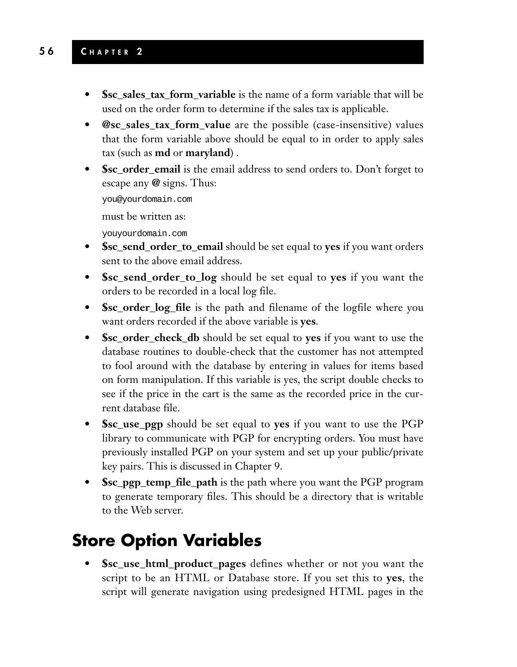- **\$sc\_sales\_tax\_form\_variable** is the name of a form variable that will be used on the order form to determine if the sales tax is applicable.
- **@sc\_sales\_tax\_form\_value** are the possible (case-insensitive) values that the form variable above should be equal to in order to apply sales tax (such as **md** or **maryland**) .
- **\$sc\_order\_email** is the email address to send orders to. Don't forget to escape any **@** signs. Thus:

you@yourdomain.com

must be written as:

youyourdomain.com

- **\$sc\_send\_order\_to\_email** should be set equal to **yes** if you want orders sent to the above email address.
- **\$sc\_send\_order\_to\_log** should be set equal to **yes** if you want the orders to be recorded in a local log file.
- **\$sc\_order\_log\_file** is the path and filename of the logfile where you want orders recorded if the above variable is **yes**.
- **\$sc\_order\_check\_db** should be set equal to **yes** if you want to use the database routines to double-check that the customer has not attempted to fool around with the database by entering in values for items based on form manipulation. If this variable is yes, the script double checks to see if the price in the cart is the same as the recorded price in the current database file.
- **\$sc\_use\_pgp** should be set equal to **yes** if you want to use the PGP library to communicate with PGP for encrypting orders. You must have previously installed PGP on your system and set up your public/private key pairs. This is discussed in Chapter 9.
- **\$sc\_pgp\_temp\_file\_path** is the path where you want the PGP program to generate temporary files. This should be a directory that is writable to the Web server.

### **Store Option Variables**

**• \$sc\_use\_html\_product\_pages** defines whether or not you want the script to be an HTML or Database store. If you set this to **yes**, the script will generate navigation using predesigned HTML pages in the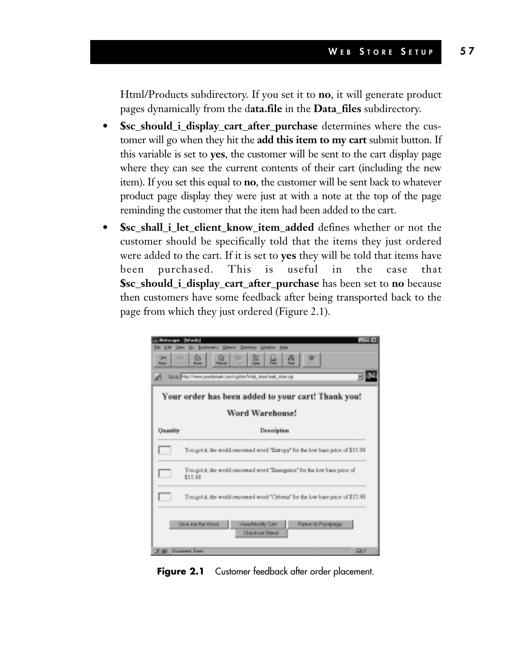Html/Products subdirectory. If you set it to **no**, it will generate product pages dynamically from the d**ata.file** in the **Data\_files** subdirectory.

- **\$sc\_should\_i\_display\_cart\_after\_purchase** determines where the customer will go when they hit the **add this item to my cart** submit button. If this variable is set to **yes**, the customer will be sent to the cart display page where they can see the current contents of their cart (including the new item). If you set this equal to **no**, the customer will be sent back to whatever product page display they were just at with a note at the top of the page reminding the customer that the item had been added to the cart.
- **\$sc\_shall\_i\_let\_client\_know\_item\_added** defines whether or not the customer should be specifically told that the items they just ordered were added to the cart. If it is set to **yes** they will be told that items have been purchased. This is useful in the case that **\$sc\_should\_i\_display\_cart\_after\_purchase** has been set to **no** because then customers have some feedback after being transported back to the page from which they just ordered (Figure 2.1).

| Your order has been added to your cart! Thank you!<br>Word Warehouse! |                                                                                      |  |
|-----------------------------------------------------------------------|--------------------------------------------------------------------------------------|--|
|                                                                       |                                                                                      |  |
|                                                                       | You got it, the world renowned word "Extropy" for the low base price of \$15.93.     |  |
| I.                                                                    | You got it, the world renowned word "Emergence" for the low base price of<br>\$15.98 |  |
|                                                                       | You got it, the world renowned word "Cyberia" for the low base price of \$15.93.     |  |

**Figure 2.1** Customer feedback after order placement.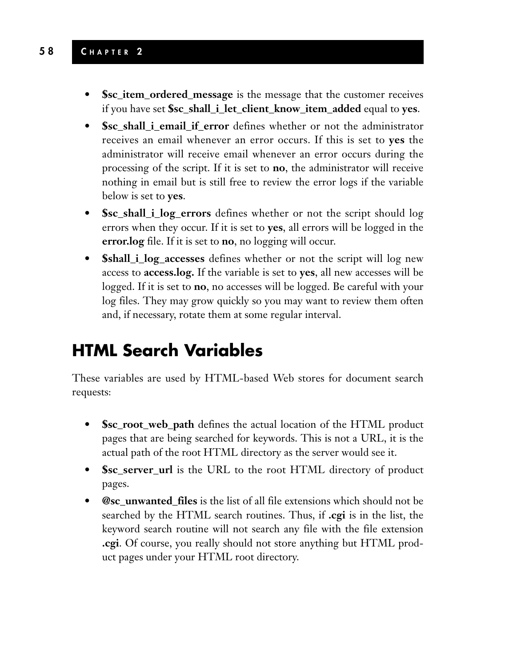- **Ssc\_item\_ordered\_message** is the message that the customer receives if you have set **\$sc\_shall\_i\_let\_client\_know\_item\_added** equal to **yes**.
- **Ssc** shall i email if error defines whether or not the administrator receives an email whenever an error occurs. If this is set to **yes** the administrator will receive email whenever an error occurs during the processing of the script. If it is set to **no**, the administrator will receive nothing in email but is still free to review the error logs if the variable below is set to **yes**.
- **\$sc\_shall\_i\_log\_errors** defines whether or not the script should log errors when they occur. If it is set to **yes**, all errors will be logged in the **error.log** file. If it is set to **no**, no logging will occur.
- **\$shall\_i\_log\_accesses** defines whether or not the script will log new access to **access.log.** If the variable is set to **yes**, all new accesses will be logged. If it is set to **no**, no accesses will be logged. Be careful with your log files. They may grow quickly so you may want to review them often and, if necessary, rotate them at some regular interval.

### **HTML Search Variables**

These variables are used by HTML-based Web stores for document search requests:

- **\$sc\_root\_web\_path** defines the actual location of the HTML product pages that are being searched for keywords. This is not a URL, it is the actual path of the root HTML directory as the server would see it.
- **\$sc\_server\_url** is the URL to the root HTML directory of product pages.
- **@sc\_unwanted\_files** is the list of all file extensions which should not be searched by the HTML search routines. Thus, if **.cgi** is in the list, the keyword search routine will not search any file with the file extension **.cgi**. Of course, you really should not store anything but HTML product pages under your HTML root directory.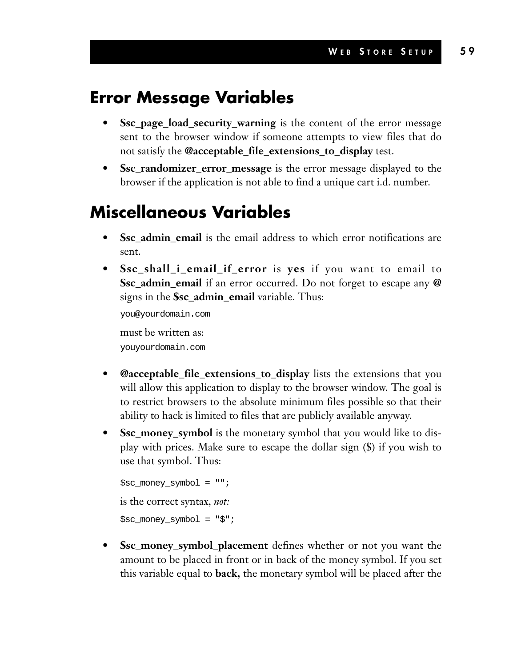### **Error Message Variables**

- **\$sc\_page\_load\_security\_warning** is the content of the error message sent to the browser window if someone attempts to view files that do not satisfy the **@acceptable\_file\_extensions\_to\_display** test.
- **\$sc\_randomizer\_error\_message** is the error message displayed to the browser if the application is not able to find a unique cart i.d. number.

### **Miscellaneous Variables**

- **\$sc\_admin\_email** is the email address to which error notifications are sent.
- **\$sc\_shall\_i\_email\_if\_error** is **yes** if you want to email to **\$sc\_admin\_email** if an error occurred. Do not forget to escape any **@** signs in the **\$sc\_admin\_email** variable. Thus:

you@yourdomain.com must be written as: youyourdomain.com

- **@acceptable\_file\_extensions\_to\_display** lists the extensions that you will allow this application to display to the browser window. The goal is to restrict browsers to the absolute minimum files possible so that their ability to hack is limited to files that are publicly available anyway.
- **\$sc\_money\_symbol** is the monetary symbol that you would like to display with prices. Make sure to escape the dollar sign (\$) if you wish to use that symbol. Thus:

```
$sc_money_symbol = "";
is the correct syntax, not:
$sc_money_symbol = "$";
```
**• \$sc\_money\_symbol\_placement** defines whether or not you want the amount to be placed in front or in back of the money symbol. If you set this variable equal to **back,** the monetary symbol will be placed after the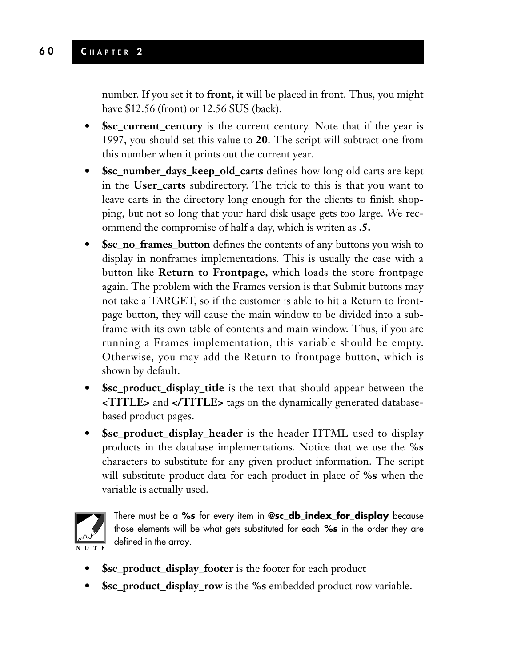number. If you set it to **front,** it will be placed in front. Thus, you might have \$12.56 (front) or 12.56 \$US (back).

- **\$sc\_current\_century** is the current century. Note that if the year is 1997, you should set this value to **20**. The script will subtract one from this number when it prints out the current year.
- **\$sc\_number\_days\_keep\_old\_carts** defines how long old carts are kept in the **User\_carts** subdirectory. The trick to this is that you want to leave carts in the directory long enough for the clients to finish shopping, but not so long that your hard disk usage gets too large. We recommend the compromise of half a day, which is writen as **.5.**
- **\$sc\_no\_frames\_button** defines the contents of any buttons you wish to display in nonframes implementations. This is usually the case with a button like **Return to Frontpage,** which loads the store frontpage again. The problem with the Frames version is that Submit buttons may not take a TARGET, so if the customer is able to hit a Return to frontpage button, they will cause the main window to be divided into a subframe with its own table of contents and main window. Thus, if you are running a Frames implementation, this variable should be empty. Otherwise, you may add the Return to frontpage button, which is shown by default.
- **\$sc\_product\_display\_title** is the text that should appear between the **<TITLE>** and **</TITLE>** tags on the dynamically generated databasebased product pages.
- **\$sc\_product\_display\_header** is the header HTML used to display products in the database implementations. Notice that we use the **%s** characters to substitute for any given product information. The script will substitute product data for each product in place of **%s** when the variable is actually used.



There must be a **%s** for every item in **@sc\_db\_index\_for\_display** because those elements will be what gets substituted for each **%s** in the order they are defined in the array.

- **\$sc\_product\_display\_footer** is the footer for each product
- **\$sc\_product\_display\_row** is the **%s** embedded product row variable.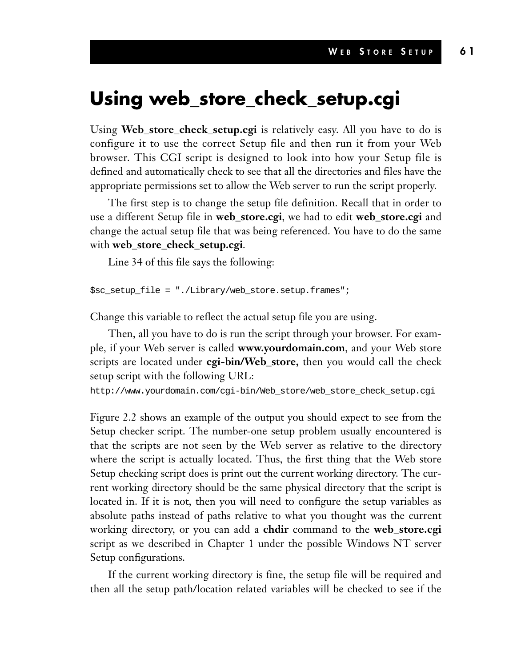### **Using web\_store\_check\_setup.cgi**

Using **Web\_store\_check\_setup.cgi** is relatively easy. All you have to do is configure it to use the correct Setup file and then run it from your Web browser. This CGI script is designed to look into how your Setup file is defined and automatically check to see that all the directories and files have the appropriate permissions set to allow the Web server to run the script properly.

The first step is to change the setup file definition. Recall that in order to use a different Setup file in **web\_store.cgi**, we had to edit **web\_store.cgi** and change the actual setup file that was being referenced. You have to do the same with **web\_store\_check\_setup.cgi**.

Line 34 of this file says the following:

```
$sc_setup_file = "./Library/web_store.setup.frames";
```
Change this variable to reflect the actual setup file you are using.

Then, all you have to do is run the script through your browser. For example, if your Web server is called **www.yourdomain.com**, and your Web store scripts are located under **cgi-bin/Web\_store,** then you would call the check setup script with the following URL:

```
http://www.yourdomain.com/cgi-bin/Web_store/web_store_check_setup.cgi
```
Figure 2.2 shows an example of the output you should expect to see from the Setup checker script. The number-one setup problem usually encountered is that the scripts are not seen by the Web server as relative to the directory where the script is actually located. Thus, the first thing that the Web store Setup checking script does is print out the current working directory. The current working directory should be the same physical directory that the script is located in. If it is not, then you will need to configure the setup variables as absolute paths instead of paths relative to what you thought was the current working directory, or you can add a **chdir** command to the **web\_store.cgi** script as we described in Chapter 1 under the possible Windows NT server Setup configurations.

If the current working directory is fine, the setup file will be required and then all the setup path/location related variables will be checked to see if the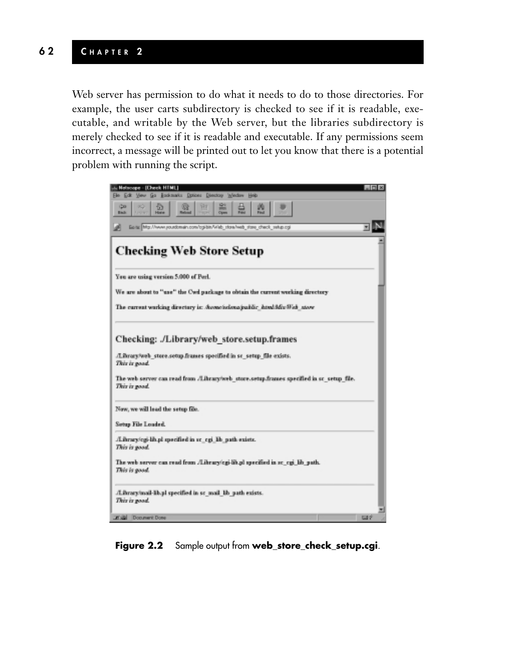Web server has permission to do what it needs to do to those directories. For example, the user carts subdirectory is checked to see if it is readable, executable, and writable by the Web server, but the libraries subdirectory is merely checked to see if it is readable and executable. If any permissions seem incorrect, a message will be printed out to let you know that there is a potential problem with running the script.



**Figure 2.2** Sample output from **web\_store\_check\_setup.cgi**.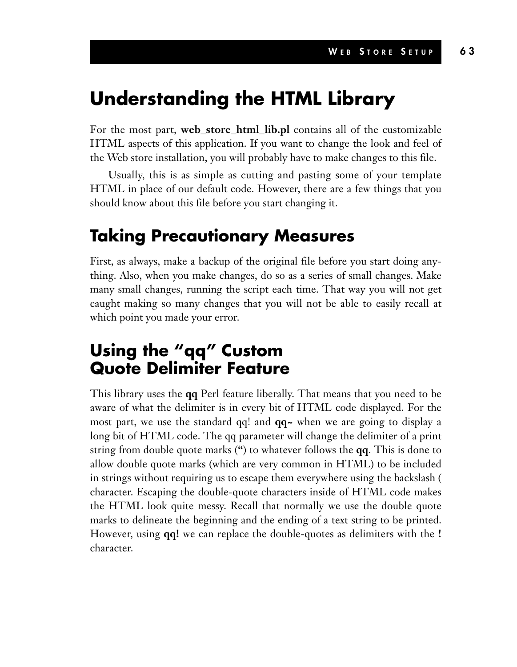### **Understanding the HTML Library**

For the most part, **web\_store\_html\_lib.pl** contains all of the customizable HTML aspects of this application. If you want to change the look and feel of the Web store installation, you will probably have to make changes to this file.

Usually, this is as simple as cutting and pasting some of your template HTML in place of our default code. However, there are a few things that you should know about this file before you start changing it.

### **Taking Precautionary Measures**

First, as always, make a backup of the original file before you start doing anything. Also, when you make changes, do so as a series of small changes. Make many small changes, running the script each time. That way you will not get caught making so many changes that you will not be able to easily recall at which point you made your error.

### **Using the "qq" Custom Quote Delimiter Feature**

This library uses the **qq** Perl feature liberally. That means that you need to be aware of what the delimiter is in every bit of HTML code displayed. For the most part, we use the standard qq! and **qq~** when we are going to display a long bit of HTML code. The qq parameter will change the delimiter of a print string from double quote marks (**"**) to whatever follows the **qq**. This is done to allow double quote marks (which are very common in HTML) to be included in strings without requiring us to escape them everywhere using the backslash ( character. Escaping the double-quote characters inside of HTML code makes the HTML look quite messy. Recall that normally we use the double quote marks to delineate the beginning and the ending of a text string to be printed. However, using **qq!** we can replace the double-quotes as delimiters with the **!** character.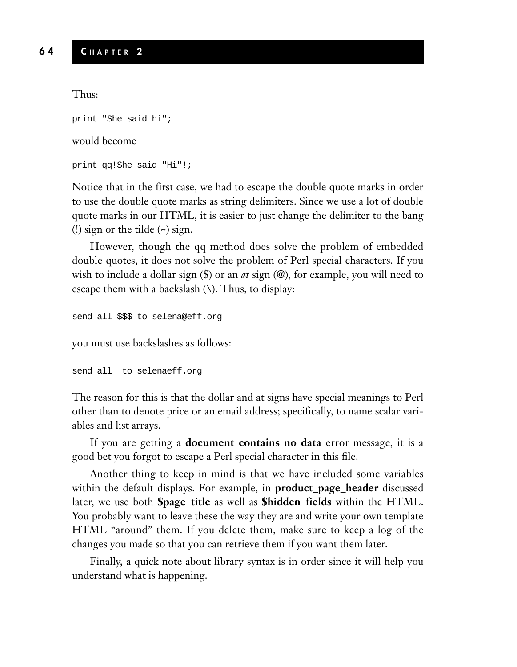Thus:

```
print "She said hi";
```
#### would become

```
print qq!She said "Hi"!;
```
Notice that in the first case, we had to escape the double quote marks in order to use the double quote marks as string delimiters. Since we use a lot of double quote marks in our HTML, it is easier to just change the delimiter to the bang (!) sign or the tilde  $(\sim)$  sign.

However, though the qq method does solve the problem of embedded double quotes, it does not solve the problem of Perl special characters. If you wish to include a dollar sign (\$) or an *at* sign (@), for example, you will need to escape them with a backslash  $(\cdot)$ . Thus, to display:

```
send all $$$ to selena@eff.org
```
you must use backslashes as follows:

```
send all to selenaeff.org
```
The reason for this is that the dollar and at signs have special meanings to Perl other than to denote price or an email address; specifically, to name scalar variables and list arrays.

If you are getting a **document contains no data** error message, it is a good bet you forgot to escape a Perl special character in this file.

Another thing to keep in mind is that we have included some variables within the default displays. For example, in **product\_page\_header** discussed later, we use both **\$page\_title** as well as **\$hidden\_fields** within the HTML. You probably want to leave these the way they are and write your own template HTML "around" them. If you delete them, make sure to keep a log of the changes you made so that you can retrieve them if you want them later.

Finally, a quick note about library syntax is in order since it will help you understand what is happening.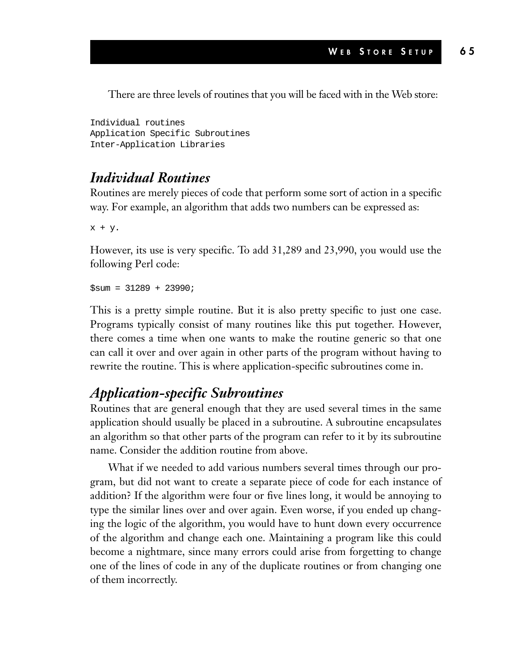There are three levels of routines that you will be faced with in the Web store:

Individual routines Application Specific Subroutines Inter-Application Libraries

#### *Individual Routines*

Routines are merely pieces of code that perform some sort of action in a specific way. For example, an algorithm that adds two numbers can be expressed as:

x + y.

However, its use is very specific. To add 31,289 and 23,990, you would use the following Perl code:

 $Ssum = 31289 + 23990$ ;

This is a pretty simple routine. But it is also pretty specific to just one case. Programs typically consist of many routines like this put together. However, there comes a time when one wants to make the routine generic so that one can call it over and over again in other parts of the program without having to rewrite the routine. This is where application-specific subroutines come in.

#### *Application-specific Subroutines*

Routines that are general enough that they are used several times in the same application should usually be placed in a subroutine. A subroutine encapsulates an algorithm so that other parts of the program can refer to it by its subroutine name. Consider the addition routine from above.

What if we needed to add various numbers several times through our program, but did not want to create a separate piece of code for each instance of addition? If the algorithm were four or five lines long, it would be annoying to type the similar lines over and over again. Even worse, if you ended up changing the logic of the algorithm, you would have to hunt down every occurrence of the algorithm and change each one. Maintaining a program like this could become a nightmare, since many errors could arise from forgetting to change one of the lines of code in any of the duplicate routines or from changing one of them incorrectly.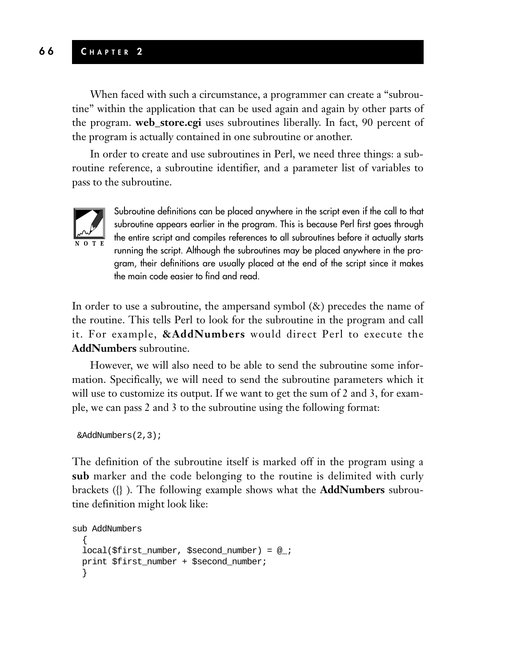#### **6 6 C HAPTER 2**

When faced with such a circumstance, a programmer can create a "subroutine" within the application that can be used again and again by other parts of the program. **web\_store.cgi** uses subroutines liberally. In fact, 90 percent of the program is actually contained in one subroutine or another.

In order to create and use subroutines in Perl, we need three things: a subroutine reference, a subroutine identifier, and a parameter list of variables to pass to the subroutine.



Subroutine definitions can be placed anywhere in the script even if the call to that subroutine appears earlier in the program. This is because Perl first goes through the entire script and compiles references to all subroutines before it actually starts running the script. Although the subroutines may be placed anywhere in the program, their definitions are usually placed at the end of the script since it makes the main code easier to find and read.

In order to use a subroutine, the ampersand symbol (&) precedes the name of the routine. This tells Perl to look for the subroutine in the program and call it. For example, **&AddNumbers** would direct Perl to execute the **AddNumbers** subroutine.

However, we will also need to be able to send the subroutine some information. Specifically, we will need to send the subroutine parameters which it will use to customize its output. If we want to get the sum of 2 and 3, for example, we can pass 2 and 3 to the subroutine using the following format:

```
&AddNumbers(2,3);
```
The definition of the subroutine itself is marked off in the program using a **sub** marker and the code belonging to the routine is delimited with curly brackets ({} ). The following example shows what the **AddNumbers** subroutine definition might look like:

```
sub AddNumbers
  {
 local($first_number, $second_number) = @_;
 print $first_number + $second_number;
  }
```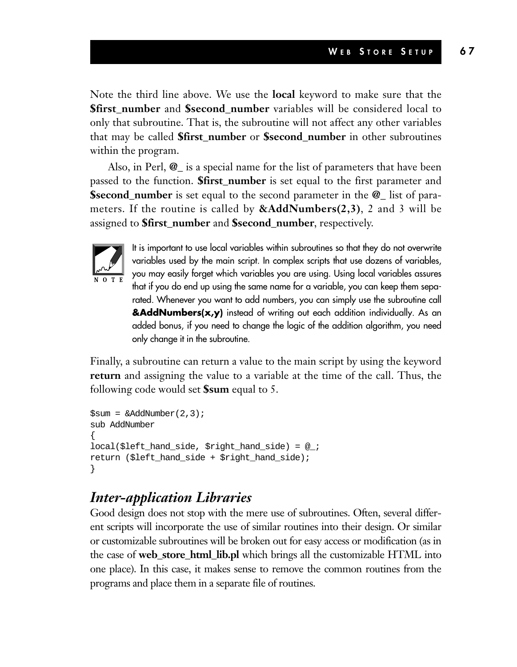Note the third line above. We use the **local** keyword to make sure that the **\$first\_number** and **\$second\_number** variables will be considered local to only that subroutine. That is, the subroutine will not affect any other variables that may be called **\$first\_number** or **\$second\_number** in other subroutines within the program.

Also, in Perl, **@\_** is a special name for the list of parameters that have been passed to the function. **\$first\_number** is set equal to the first parameter and **\$second\_number** is set equal to the second parameter in the **@\_** list of parameters. If the routine is called by **&AddNumbers(2,3)**, 2 and 3 will be assigned to **\$first\_number** and **\$second\_number**, respectively.



It is important to use local variables within subroutines so that they do not overwrite variables used by the main script. In complex scripts that use dozens of variables, you may easily forget which variables you are using. Using local variables assures that if you do end up using the same name for a variable, you can keep them separated. Whenever you want to add numbers, you can simply use the subroutine call **&AddNumbers(x,y)** instead of writing out each addition individually. As an added bonus, if you need to change the logic of the addition algorithm, you need only change it in the subroutine.

Finally, a subroutine can return a value to the main script by using the keyword **return** and assigning the value to a variable at the time of the call. Thus, the following code would set **\$sum** equal to 5.

```
$sum = \&AddNumber(2.3);sub AddNumber
{
local($left_hand_side, $right_hand_side) = @_;
return ($left_hand_side + $right_hand_side);
}
```
#### *Inter-application Libraries*

Good design does not stop with the mere use of subroutines. Often, several different scripts will incorporate the use of similar routines into their design. Or similar or customizable subroutines will be broken out for easy access or modification (as in the case of **web\_store\_html\_lib.pl** which brings all the customizable HTML into one place). In this case, it makes sense to remove the common routines from the programs and place them in a separate file of routines.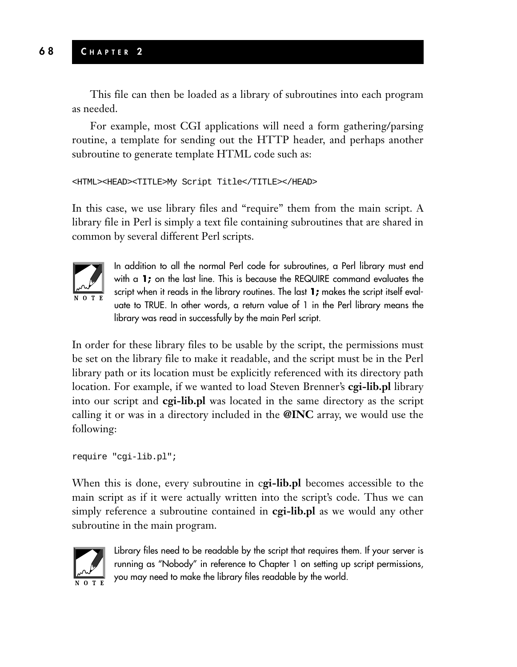This file can then be loaded as a library of subroutines into each program as needed.

For example, most CGI applications will need a form gathering/parsing routine, a template for sending out the HTTP header, and perhaps another subroutine to generate template HTML code such as:

```
<HTML><HEAD><TITLE>My Script Title</TITLE></HEAD>
```
In this case, we use library files and "require" them from the main script. A library file in Perl is simply a text file containing subroutines that are shared in common by several different Perl scripts.



In addition to all the normal Perl code for subroutines, a Perl library must end with a **1;** on the last line. This is because the REQUIRE command evaluates the script when it reads in the library routines. The last **1;** makes the script itself evaluate to TRUE. In other words, a return value of 1 in the Perl library means the library was read in successfully by the main Perl script.

In order for these library files to be usable by the script, the permissions must be set on the library file to make it readable, and the script must be in the Perl library path or its location must be explicitly referenced with its directory path location. For example, if we wanted to load Steven Brenner's **cgi-lib.pl** library into our script and **cgi-lib.pl** was located in the same directory as the script calling it or was in a directory included in the **@INC** array, we would use the following:

```
require "cgi-lib.pl";
```
When this is done, every subroutine in c**gi-lib.pl** becomes accessible to the main script as if it were actually written into the script's code. Thus we can simply reference a subroutine contained in **cgi-lib.pl** as we would any other subroutine in the main program.



Library files need to be readable by the script that requires them. If your server is running as "Nobody" in reference to Chapter 1 on setting up script permissions, you may need to make the library files readable by the world.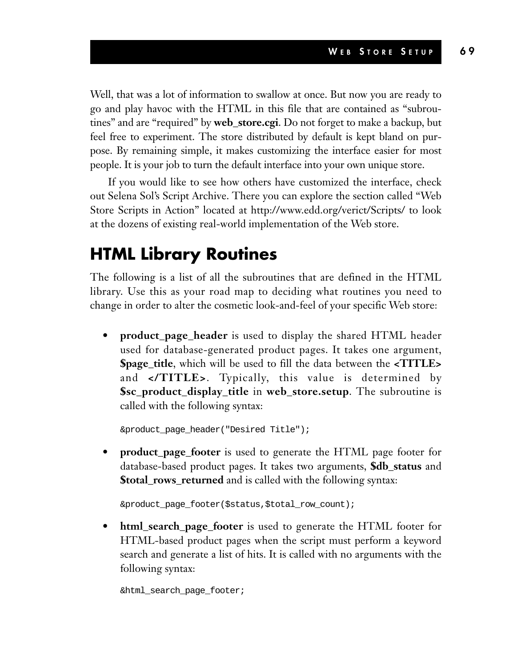Well, that was a lot of information to swallow at once. But now you are ready to go and play havoc with the HTML in this file that are contained as "subroutines" and are "required" by **web\_store.cgi**. Do not forget to make a backup, but feel free to experiment. The store distributed by default is kept bland on purpose. By remaining simple, it makes customizing the interface easier for most people. It is your job to turn the default interface into your own unique store.

If you would like to see how others have customized the interface, check out Selena Sol's Script Archive. There you can explore the section called "Web Store Scripts in Action" located at http://www.edd.org/verict/Scripts/ to look at the dozens of existing real-world implementation of the Web store.

### **HTML Library Routines**

The following is a list of all the subroutines that are defined in the HTML library. Use this as your road map to deciding what routines you need to change in order to alter the cosmetic look-and-feel of your specific Web store:

**• product\_page\_header** is used to display the shared HTML header used for database-generated product pages. It takes one argument, **\$page\_title**, which will be used to fill the data between the **<TITLE>** and **</TITLE>**. Typically, this value is determined by **\$sc\_product\_display\_title** in **web\_store.setup**. The subroutine is called with the following syntax:

&product\_page\_header("Desired Title");

**• product\_page\_footer** is used to generate the HTML page footer for database-based product pages. It takes two arguments, **\$db\_status** and **\$total\_rows\_returned** and is called with the following syntax:

&product\_page\_footer(\$status,\$total\_row\_count);

**• html\_search\_page\_footer** is used to generate the HTML footer for HTML-based product pages when the script must perform a keyword search and generate a list of hits. It is called with no arguments with the following syntax:

&html\_search\_page\_footer;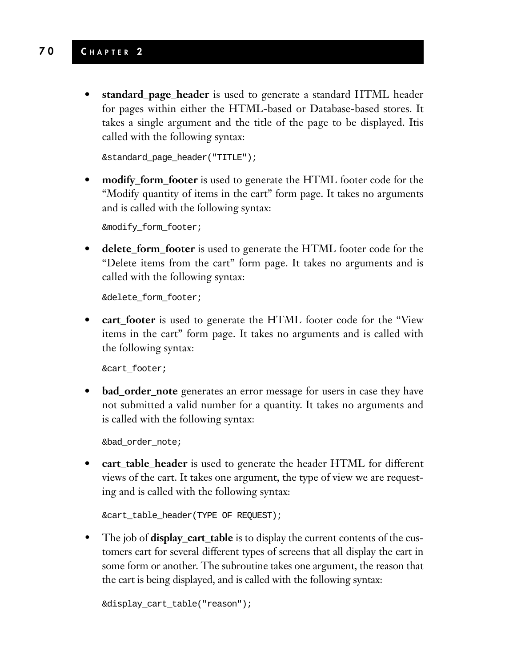#### **7 0 C HAPTER 2**

**• standard\_page\_header** is used to generate a standard HTML header for pages within either the HTML-based or Database-based stores. It takes a single argument and the title of the page to be displayed. Itis called with the following syntax:

```
&standard_page_header("TITLE");
```
**• modify\_form\_footer** is used to generate the HTML footer code for the "Modify quantity of items in the cart" form page. It takes no arguments and is called with the following syntax:

&modify\_form\_footer;

**• delete\_form\_footer** is used to generate the HTML footer code for the "Delete items from the cart" form page. It takes no arguments and is called with the following syntax:

&delete\_form\_footer;

**• cart\_footer** is used to generate the HTML footer code for the "View items in the cart" form page. It takes no arguments and is called with the following syntax:

&cart\_footer;

**bad\_order\_note** generates an error message for users in case they have not submitted a valid number for a quantity. It takes no arguments and is called with the following syntax:

&bad\_order\_note;

**• cart\_table\_header** is used to generate the header HTML for different views of the cart. It takes one argument, the type of view we are requesting and is called with the following syntax:

```
&cart_table_header(TYPE OF REQUEST);
```
• The job of **display\_cart\_table** is to display the current contents of the customers cart for several different types of screens that all display the cart in some form or another. The subroutine takes one argument, the reason that the cart is being displayed, and is called with the following syntax:

```
&display_cart_table("reason");
```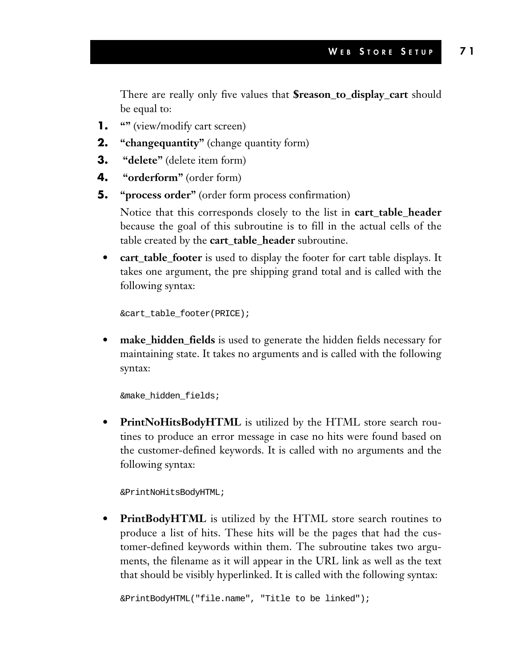There are really only five values that **\$reason\_to\_display\_cart** should be equal to:

- **1. ""** (view/modify cart screen)
- **2. "changequantity"** (change quantity form)
- **3. "delete"** (delete item form)
- **4. "orderform"** (order form)
- **5. "process order"** (order form process confirmation)

Notice that this corresponds closely to the list in **cart\_table\_header** because the goal of this subroutine is to fill in the actual cells of the table created by the **cart\_table\_header** subroutine.

**• cart\_table\_footer** is used to display the footer for cart table displays. It takes one argument, the pre shipping grand total and is called with the following syntax:

&cart\_table\_footer(PRICE);

**make\_hidden\_fields** is used to generate the hidden fields necessary for maintaining state. It takes no arguments and is called with the following syntax:

&make\_hidden\_fields;

**• PrintNoHitsBodyHTML** is utilized by the HTML store search routines to produce an error message in case no hits were found based on the customer-defined keywords. It is called with no arguments and the following syntax:

&PrintNoHitsBodyHTML;

**• PrintBodyHTML** is utilized by the HTML store search routines to produce a list of hits. These hits will be the pages that had the customer-defined keywords within them. The subroutine takes two arguments, the filename as it will appear in the URL link as well as the text that should be visibly hyperlinked. It is called with the following syntax:

&PrintBodyHTML("file.name", "Title to be linked");